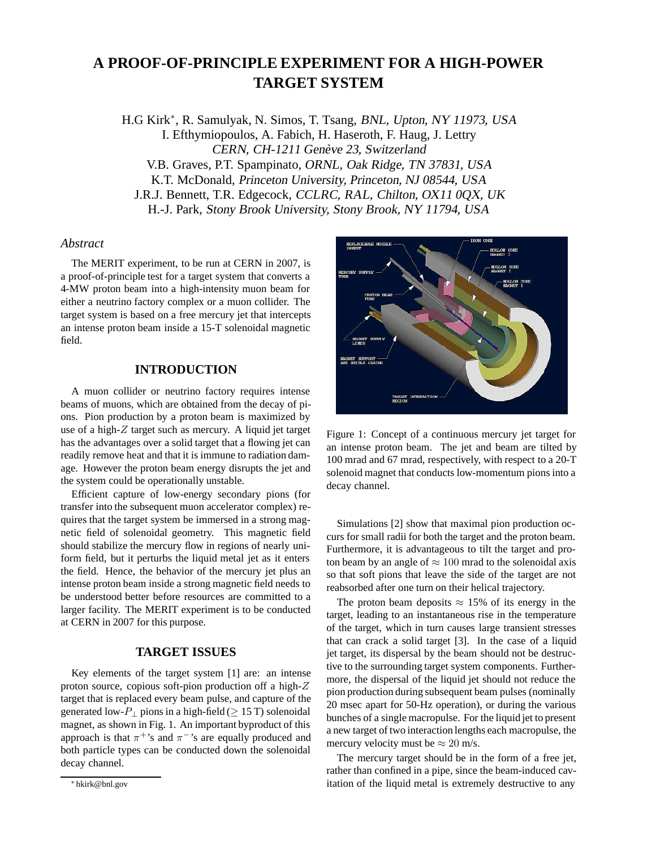# **A PROOF-OF-PRINCIPLE EXPERIMENT FOR A HIGH-POWER TARGET SYSTEM**

H.G Kirk∗, R. Samulyak, N. Simos, T. Tsang, BNL, Upton, NY 11973, USA I. Efthymiopoulos, A. Fabich, H. Haseroth, F. Haug, J. Lettry CERN, CH-1211 Genève 23, Switzerland V.B. Graves, P.T. Spampinato, ORNL, Oak Ridge, TN 37831, USA K.T. McDonald, Princeton University, Princeton, NJ 08544, USA J.R.J. Bennett, T.R. Edgecock, CCLRC, RAL, Chilton, OX11 0QX, UK H.-J. Park, Stony Brook University, Stony Brook, NY 11794, USA

## *Abstract*

The MERIT experiment, to be run at CERN in 2007, is a proof-of-principle test for a target system that converts a 4-MW proton beam into a high-intensity muon beam for either a neutrino factory complex or a muon collider. The target system is based on a free mercury jet that intercepts an intense proton beam inside a 15-T solenoidal magnetic field.

## **INTRODUCTION**

A muon collider or neutrino factory requires intense beams of muons, which are obtained from the decay of pions. Pion production by a proton beam is maximized by use of a high-Z target such as mercury. A liquid jet target has the advantages over a solid target that a flowing jet can readily remove heat and that it is immune to radiation damage. However the proton beam energy disrupts the jet and the system could be operationally unstable.

Efficient capture of low-energy secondary pions (for transfer into the subsequent muon accelerator complex) requires that the target system be immersed in a strong magnetic field of solenoidal geometry. This magnetic field should stabilize the mercury flow in regions of nearly uniform field, but it perturbs the liquid metal jet as it enters the field. Hence, the behavior of the mercury jet plus an intense proton beam inside a strong magnetic field needs to be understood better before resources are committed to a larger facility. The MERIT experiment is to be conducted at CERN in 2007 for this purpose.

## **TARGET ISSUES**

Key elements of the target system [1] are: an intense proton source, copious soft-pion production off a high-Z target that is replaced every beam pulse, and capture of the generated low- $P_{\perp}$  pions in a high-field ( $\geq 15$  T) solenoidal magnet, as shown in Fig. 1. An important byproduct of this approach is that  $\pi^+$ 's and  $\pi^-$ 's are equally produced and both particle types can be conducted down the solenoidal decay channel.



Figure 1: Concept of a continuous mercury jet target for an intense proton beam. The jet and beam are tilted by 100 mrad and 67 mrad, respectively, with respect to a 20-T solenoid magnet that conducts low-momentum pions into a decay channel.

Simulations [2] show that maximal pion production occurs for small radii for both the target and the proton beam. Furthermore, it is advantageous to tilt the target and proton beam by an angle of  $\approx 100$  mrad to the solenoidal axis so that soft pions that leave the side of the target are not reabsorbed after one turn on their helical trajectory.

The proton beam deposits  $\approx 15\%$  of its energy in the target, leading to an instantaneous rise in the temperature of the target, which in turn causes large transient stresses that can crack a solid target [3]. In the case of a liquid jet target, its dispersal by the beam should not be destructive to the surrounding target system components. Furthermore, the dispersal of the liquid jet should not reduce the pion production during subsequent beam pulses (nominally 20 msec apart for 50-Hz operation), or during the various bunches of a single macropulse. For the liquid jet to present a new target of two interaction lengths each macropulse, the mercury velocity must be  $\approx 20$  m/s.

The mercury target should be in the form of a free jet, rather than confined in a pipe, since the beam-induced cavitation of the liquid metal is extremely destructive to any

<sup>∗</sup> hkirk@bnl.gov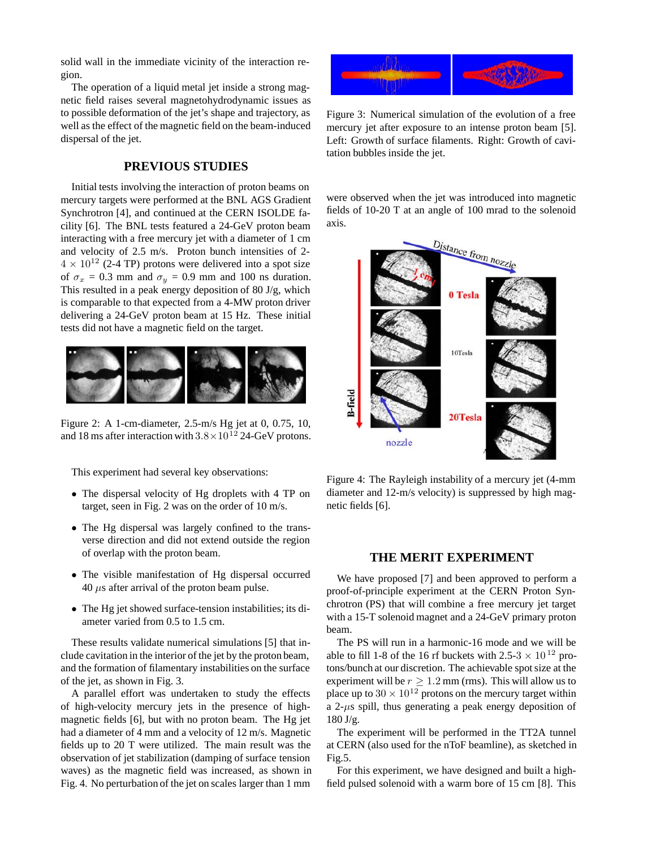solid wall in the immediate vicinity of the interaction region.

The operation of a liquid metal jet inside a strong magnetic field raises several magnetohydrodynamic issues as to possible deformation of the jet's shape and trajectory, as well as the effect of the magnetic field on the beam-induced dispersal of the jet.

## **PREVIOUS STUDIES**

Initial tests involving the interaction of proton beams on mercury targets were performed at the BNL AGS Gradient Synchrotron [4], and continued at the CERN ISOLDE facility [6]. The BNL tests featured a 24-GeV proton beam interacting with a free mercury jet with a diameter of 1 cm and velocity of 2.5 m/s. Proton bunch intensities of 2-  $4 \times 10^{12}$  (2-4 TP) protons were delivered into a spot size of  $\sigma_x = 0.3$  mm and  $\sigma_y = 0.9$  mm and 100 ns duration. This resulted in a peak energy deposition of 80 J/g, which is comparable to that expected from a 4-MW proton driver delivering a 24-GeV proton beam at 15 Hz. These initial tests did not have a magnetic field on the target.



Figure 2: A 1-cm-diameter, 2.5-m/s Hg jet at 0, 0.75, 10, and 18 ms after interaction with  $3.8 \times 10^{12}$  24-GeV protons.

This experiment had several key observations:

- The dispersal velocity of Hg droplets with 4 TP on target, seen in Fig. 2 was on the order of 10 m/s.
- The Hg dispersal was largely confined to the transverse direction and did not extend outside the region of overlap with the proton beam.
- The visible manifestation of Hg dispersal occurred  $40 \mu s$  after arrival of the proton beam pulse.
- The Hg jet showed surface-tension instabilities; its diameter varied from 0.5 to 1.5 cm.

These results validate numerical simulations [5] that include cavitation in the interior of the jet by the proton beam, and the formation of filamentary instabilities on the surface of the jet, as shown in Fig. 3.

A parallel effort was undertaken to study the effects of high-velocity mercury jets in the presence of highmagnetic fields [6], but with no proton beam. The Hg jet had a diameter of 4 mm and a velocity of 12 m/s. Magnetic fields up to 20 T were utilized. The main result was the observation of jet stabilization (damping of surface tension waves) as the magnetic field was increased, as shown in Fig. 4. No perturbation of the jet on scales larger than 1 mm



Figure 3: Numerical simulation of the evolution of a free mercury jet after exposure to an intense proton beam [5]. Left: Growth of surface filaments. Right: Growth of cavitation bubbles inside the jet.

were observed when the jet was introduced into magnetic fields of 10-20 T at an angle of 100 mrad to the solenoid axis.



Figure 4: The Rayleigh instability of a mercury jet (4-mm diameter and 12-m/s velocity) is suppressed by high magnetic fields [6].

#### **THE MERIT EXPERIMENT**

We have proposed [7] and been approved to perform a proof-of-principle experiment at the CERN Proton Synchrotron (PS) that will combine a free mercury jet target with a 15-T solenoid magnet and a 24-GeV primary proton beam.

The PS will run in a harmonic-16 mode and we will be able to fill 1-8 of the 16 rf buckets with 2.5-3  $\times$  10<sup>12</sup> protons/bunch at our discretion. The achievable spot size at the experiment will be  $r \geq 1.2$  mm (rms). This will allow us to place up to  $30 \times 10^{12}$  protons on the mercury target within a  $2-\mu s$  spill, thus generating a peak energy deposition of  $180 \text{ J/g}.$ 

The experiment will be performed in the TT2A tunnel at CERN (also used for the nToF beamline), as sketched in Fig.5.

For this experiment, we have designed and built a highfield pulsed solenoid with a warm bore of 15 cm [8]. This